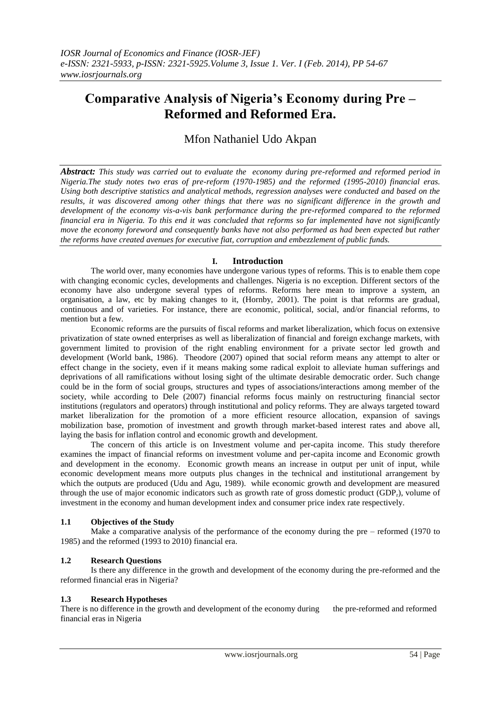# **Comparative Analysis of Nigeria's Economy during Pre – Reformed and Reformed Era.**

Mfon Nathaniel Udo Akpan

*Abstract: This study was carried out to evaluate the economy during pre-reformed and reformed period in Nigeria.The study notes two eras of pre-reform (1970-1985) and the reformed (1995-2010) financial eras. Using both descriptive statistics and analytical methods, regression analyses were conducted and based on the results, it was discovered among other things that there was no significant difference in the growth and development of the economy vis-a-vis bank performance during the pre-reformed compared to the reformed financial era in Nigeria. To this end it was concluded that reforms so far implemented have not significantly move the economy foreword and consequently banks have not also performed as had been expected but rather the reforms have created avenues for executive fiat, corruption and embezzlement of public funds.* 

## **I. Introduction**

The world over, many economies have undergone various types of reforms. This is to enable them cope with changing economic cycles, developments and challenges. Nigeria is no exception. Different sectors of the economy have also undergone several types of reforms. Reforms here mean to improve a system, an organisation, a law, etc by making changes to it, (Hornby, 2001). The point is that reforms are gradual, continuous and of varieties. For instance, there are economic, political, social, and/or financial reforms, to mention but a few

Economic reforms are the pursuits of fiscal reforms and market liberalization, which focus on extensive privatization of state owned enterprises as well as liberalization of financial and foreign exchange markets, with government limited to provision of the right enabling environment for a private sector led growth and development (World bank, 1986). Theodore (2007) opined that social reform means any attempt to alter or effect change in the society, even if it means making some radical exploit to alleviate human sufferings and deprivations of all ramifications without losing sight of the ultimate desirable democratic order. Such change could be in the form of social groups, structures and types of associations/interactions among member of the society, while according to Dele (2007) financial reforms focus mainly on restructuring financial sector institutions (regulators and operators) through institutional and policy reforms. They are always targeted toward market liberalization for the promotion of a more efficient resource allocation, expansion of savings mobilization base, promotion of investment and growth through market-based interest rates and above all, laying the basis for inflation control and economic growth and development.

The concern of this article is on Investment volume and per-capita income. This study therefore examines the impact of financial reforms on investment volume and per-capita income and Economic growth and development in the economy. Economic growth means an increase in output per unit of input, while economic development means more outputs plus changes in the technical and institutional arrangement by which the outputs are produced (Udu and Agu, 1989). while economic growth and development are measured through the use of major economic indicators such as growth rate of gross domestic product (GDPr), volume of investment in the economy and human development index and consumer price index rate respectively.

## **1.1 Objectives of the Study**

Make a comparative analysis of the performance of the economy during the pre – reformed (1970 to 1985) and the reformed (1993 to 2010) financial era.

# **1.2 Research Questions**

Is there any difference in the growth and development of the economy during the pre-reformed and the reformed financial eras in Nigeria?

## **1.3 Research Hypotheses**

There is no difference in the growth and development of the economy during the pre-reformed and reformed financial eras in Nigeria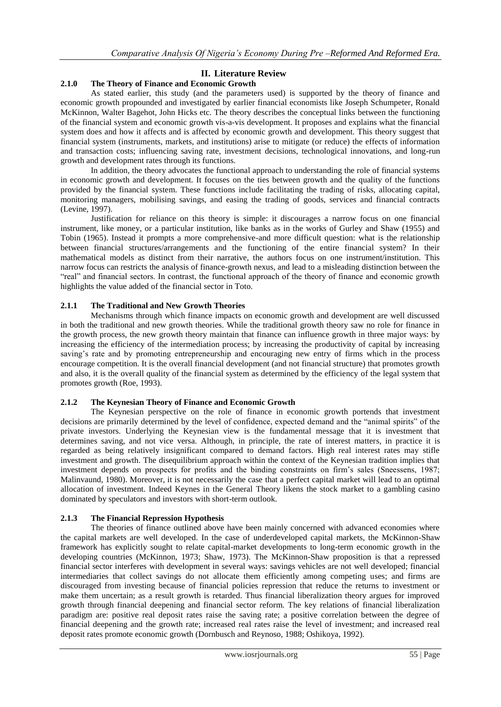#### **II. Literature Review 2.1.0 The Theory of Finance and Economic Growth**

As stated earlier, this study (and the parameters used) is supported by the theory of finance and economic growth propounded and investigated by earlier financial economists like Joseph Schumpeter, Ronald McKinnon, Walter Bagehot, John Hicks etc. The theory describes the conceptual links between the functioning of the financial system and economic growth vis-a-vis development. It proposes and explains what the financial system does and how it affects and is affected by economic growth and development. This theory suggest that

financial system (instruments, markets, and institutions) arise to mitigate (or reduce) the effects of information and transaction costs; influencing saving rate, investment decisions, technological innovations, and long-run growth and development rates through its functions.

In addition, the theory advocates the functional approach to understanding the role of financial systems in economic growth and development. It focuses on the ties between growth and the quality of the functions provided by the financial system. These functions include facilitating the trading of risks, allocating capital, monitoring managers, mobilising savings, and easing the trading of goods, services and financial contracts (Levine, 1997).

Justification for reliance on this theory is simple: it discourages a narrow focus on one financial instrument, like money, or a particular institution, like banks as in the works of Gurley and Shaw (1955) and Tobin (1965). Instead it prompts a more comprehensive-and more difficult question: what is the relationship between financial structures/arrangements and the functioning of the entire financial system? In their mathematical models as distinct from their narrative, the authors focus on one instrument/institution. This narrow focus can restricts the analysis of finance-growth nexus, and lead to a misleading distinction between the "real" and financial sectors. In contrast, the functional approach of the theory of finance and economic growth highlights the value added of the financial sector in Toto.

## **2.1.1 The Traditional and New Growth Theories**

Mechanisms through which finance impacts on economic growth and development are well discussed in both the traditional and new growth theories. While the traditional growth theory saw no role for finance in the growth process, the new growth theory maintain that finance can influence growth in three major ways: by increasing the efficiency of the intermediation process; by increasing the productivity of capital by increasing saving's rate and by promoting entrepreneurship and encouraging new entry of firms which in the process encourage competition. It is the overall financial development (and not financial structure) that promotes growth and also, it is the overall quality of the financial system as determined by the efficiency of the legal system that promotes growth (Roe, 1993).

## **2.1.2 The Keynesian Theory of Finance and Economic Growth**

The Keynesian perspective on the role of finance in economic growth portends that investment decisions are primarily determined by the level of confidence, expected demand and the "animal spirits" of the private investors. Underlying the Keynesian view is the fundamental message that it is investment that determines saving, and not vice versa. Although, in principle, the rate of interest matters, in practice it is regarded as being relatively insignificant compared to demand factors. High real interest rates may stifle investment and growth. The disequilibrium approach within the context of the Keynesian tradition implies that investment depends on prospects for profits and the binding constraints on firm"s sales (Sneessens, 1987; Malinvaund, 1980). Moreover, it is not necessarily the case that a perfect capital market will lead to an optimal allocation of investment. Indeed Keynes in the General Theory likens the stock market to a gambling casino dominated by speculators and investors with short-term outlook.

## **2.1.3 The Financial Repression Hypothesis**

The theories of finance outlined above have been mainly concerned with advanced economies where the capital markets are well developed. In the case of underdeveloped capital markets, the McKinnon-Shaw framework has explicitly sought to relate capital-market developments to long-term economic growth in the developing countries (McKinnon, 1973; Shaw, 1973). The McKinnon-Shaw proposition is that a repressed financial sector interferes with development in several ways: savings vehicles are not well developed; financial intermediaries that collect savings do not allocate them efficiently among competing uses; and firms are discouraged from investing because of financial policies repression that reduce the returns to investment or make them uncertain; as a result growth is retarded. Thus financial liberalization theory argues for improved growth through financial deepening and financial sector reform. The key relations of financial liberalization paradigm are: positive real deposit rates raise the saving rate; a positive correlation between the degree of financial deepening and the growth rate; increased real rates raise the level of investment; and increased real deposit rates promote economic growth (Dornbusch and Reynoso, 1988; Oshikoya, 1992).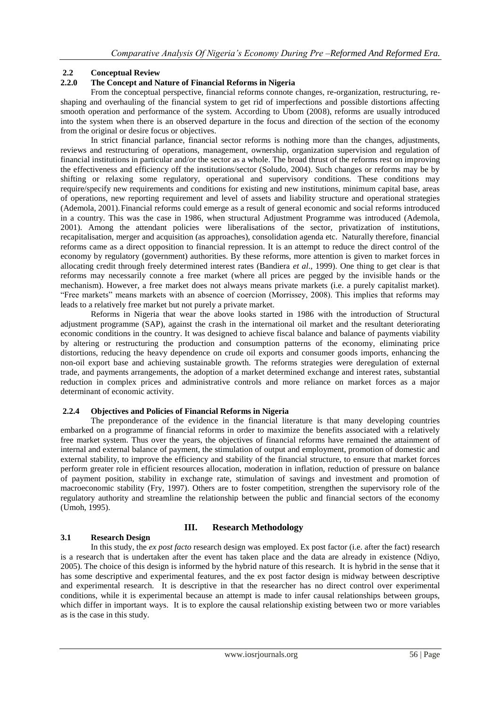## **2.2 Conceptual Review**

## **2.2.0 The Concept and Nature of Financial Reforms in Nigeria**

From the conceptual perspective, financial reforms connote changes, re-organization, restructuring, reshaping and overhauling of the financial system to get rid of imperfections and possible distortions affecting smooth operation and performance of the system. According to Ubom (2008), reforms are usually introduced into the system when there is an observed departure in the focus and direction of the section of the economy from the original or desire focus or objectives.

In strict financial parlance, financial sector reforms is nothing more than the changes, adjustments, reviews and restructuring of operations, management, ownership, organization supervision and regulation of financial institutions in particular and/or the sector as a whole. The broad thrust of the reforms rest on improving the effectiveness and efficiency off the institutions/sector (Soludo, 2004). Such changes or reforms may be by shifting or relaxing some regulatory, operational and supervisory conditions. These conditions may require/specify new requirements and conditions for existing and new institutions, minimum capital base, areas of operations, new reporting requirement and level of assets and liability structure and operational strategies (Ademola, 2001).Financial reforms could emerge as a result of general economic and social reforms introduced in a country. This was the case in 1986, when structural Adjustment Programme was introduced (Ademola, 2001). Among the attendant policies were liberalisations of the sector, privatization of institutions, recapitalisation, merger and acquisition (as approaches), consolidation agenda etc. Naturally therefore, financial reforms came as a direct opposition to financial repression. It is an attempt to reduce the direct control of the economy by regulatory (government) authorities. By these reforms, more attention is given to market forces in allocating credit through freely determined interest rates (Bandiera *et al*., 1999). One thing to get clear is that reforms may necessarily connote a free market (where all prices are pegged by the invisible hands or the mechanism). However, a free market does not always means private markets (i.e. a purely capitalist market). "Free markets" means markets with an absence of coercion (Morrissey, 2008). This implies that reforms may leads to a relatively free market but not purely a private market.

Reforms in Nigeria that wear the above looks started in 1986 with the introduction of Structural adjustment programme (SAP), against the crash in the international oil market and the resultant deteriorating economic conditions in the country. It was designed to achieve fiscal balance and balance of payments viability by altering or restructuring the production and consumption patterns of the economy, eliminating price distortions, reducing the heavy dependence on crude oil exports and consumer goods imports, enhancing the non-oil export base and achieving sustainable growth. The reforms strategies were deregulation of external trade, and payments arrangements, the adoption of a market determined exchange and interest rates, substantial reduction in complex prices and administrative controls and more reliance on market forces as a major determinant of economic activity.

## **2.2.4 Objectives and Policies of Financial Reforms in Nigeria**

The preponderance of the evidence in the financial literature is that many developing countries embarked on a programme of financial reforms in order to maximize the benefits associated with a relatively free market system. Thus over the years, the objectives of financial reforms have remained the attainment of internal and external balance of payment, the stimulation of output and employment, promotion of domestic and external stability, to improve the efficiency and stability of the financial structure, to ensure that market forces perform greater role in efficient resources allocation, moderation in inflation, reduction of pressure on balance of payment position, stability in exchange rate, stimulation of savings and investment and promotion of macroeconomic stability (Fry, 1997). Others are to foster competition, strengthen the supervisory role of the regulatory authority and streamline the relationship between the public and financial sectors of the economy (Umoh, 1995).

## **3.1 Research Design**

# **III. Research Methodology**

In this study, the *ex post facto* research design was employed. Ex post factor (i.e. after the fact) research is a research that is undertaken after the event has taken place and the data are already in existence (Ndiyo, 2005). The choice of this design is informed by the hybrid nature of this research. It is hybrid in the sense that it has some descriptive and experimental features, and the ex post factor design is midway between descriptive and experimental research. It is descriptive in that the researcher has no direct control over experimental conditions, while it is experimental because an attempt is made to infer causal relationships between groups, which differ in important ways. It is to explore the causal relationship existing between two or more variables as is the case in this study.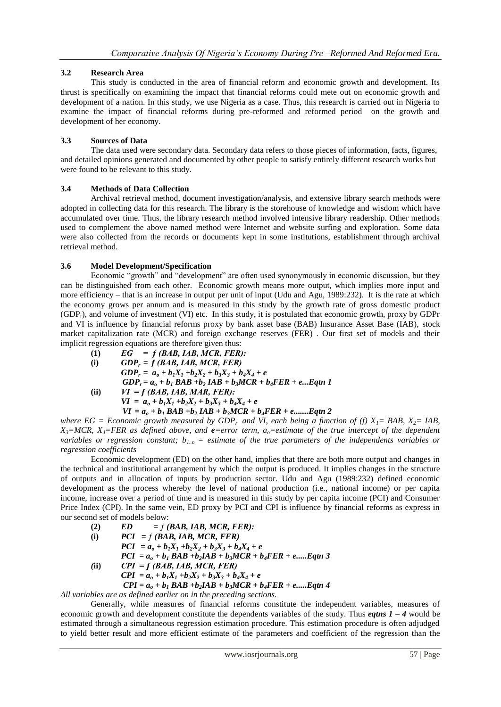## **3.2 Research Area**

This study is conducted in the area of financial reform and economic growth and development. Its thrust is specifically on examining the impact that financial reforms could mete out on economic growth and development of a nation. In this study, we use Nigeria as a case. Thus, this research is carried out in Nigeria to examine the impact of financial reforms during pre-reformed and reformed period on the growth and development of her economy.

## **3.3 Sources of Data**

The data used were secondary data. Secondary data refers to those pieces of information, facts, figures, and detailed opinions generated and documented by other people to satisfy entirely different research works but were found to be relevant to this study.

## **3.4 Methods of Data Collection**

Archival retrieval method, document investigation/analysis, and extensive library search methods were adopted in collecting data for this research. The library is the storehouse of knowledge and wisdom which have accumulated over time. Thus, the library research method involved intensive library readership. Other methods used to complement the above named method were Internet and website surfing and exploration. Some data were also collected from the records or documents kept in some institutions, establishment through archival retrieval method.

## **3.6 Model Development/Specification**

Economic "growth" and "development" are often used synonymously in economic discussion, but they can be distinguished from each other. Economic growth means more output, which implies more input and more efficiency – that is an increase in output per unit of input (Udu and Agu, 1989:232). It is the rate at which the economy grows per annum and is measured in this study by the growth rate of gross domestic product (GDPr), and volume of investment (VI) etc. In this study, it is postulated that economic growth, proxy by GDPr and VI is influence by financial reforms proxy by bank asset base (BAB) Insurance Asset Base (IAB), stock market capitalization rate (MCR) and foreign exchange reserves (FER) . Our first set of models and their implicit regression equations are therefore given thus:

**(1)** *EG = ƒ (BAB, IAB, MCR, FER):* **(i)** *GDPr = ƒ (BAB, IAB, MCR, FER)*  $GDP_r = a_o + b_1X_1 + b_2X_2 + b_3X_3 + b_4X_4 + e$ *GDPr = a<sup>o</sup> + b<sup>1</sup> BAB +b<sup>2</sup> IAB + b3MCR + b4FER + e...Eqtn 1* **(ii)** *VI = ƒ (BAB, IAB, MAR, FER):*  $VI = a_0 + b_1X_1 + b_2X_2 + b_3X_3 + b_4X_4 + e$  $VI = a_0 + b_1 BAB + b_2 IAB + b_3 MCR + b_4 FER + e$ .......*Eqtn 2* 

*where EG = Economic growth measured by GDP<sub><i>r*</sub> and VI, each being a function of (f)  $X_1 = BAB$ ,  $X_2 = IAB$ ,  $X_3$ =MCR,  $X_4$ =FER as defined above, and **e**=error term,  $a_0$ =estimate of the true intercept of the dependent *variables or regression constant;*  $b_{1,n}$  = *estimate of the true parameters of the independents variables or regression coefficients*

Economic development (ED) on the other hand, implies that there are both more output and changes in the technical and institutional arrangement by which the output is produced. It implies changes in the structure of outputs and in allocation of inputs by production sector. Udu and Agu (1989:232) defined economic development as the process whereby the level of national production (i.e., national income) or per capita income, increase over a period of time and is measured in this study by per capita income (PCI) and Consumer Price Index (CPI). In the same vein, ED proxy by PCI and CPI is influence by financial reforms as express in our second set of models below:

**(2)** *ED = ƒ (BAB, IAB, MCR, FER):*  **(i)** *PCI = ƒ (BAB, IAB, MCR, FER) PCI* =  $a_0 + b_1X_1 + b_2X_2 + b_3X_3 + b_4X_4 + e$  $PCI = a_0 + b_1 BAB + b_2 IAB + b_3 MCR + b_4 FER + e...$ *(***ii)** *CPI = ƒ (BAB, IAB, MCR, FER)*  $CPI = a_0 + b_1X_1 + b_2X_2 + b_3X_3 + b_4X_4 + e$  $CPI = a_0 + b_1$   $BAB + b_2IAB + b_3MCR + b_4FER + e.....$ *Eqtn 4* 

*All variables are as defined earlier on in the preceding sections.*

Generally, while measures of financial reforms constitute the independent variables, measures of economic growth and development constitute the dependents variables of the study. Thus *eqtns 1 – 4* would be estimated through a simultaneous regression estimation procedure. This estimation procedure is often adjudged to yield better result and more efficient estimate of the parameters and coefficient of the regression than the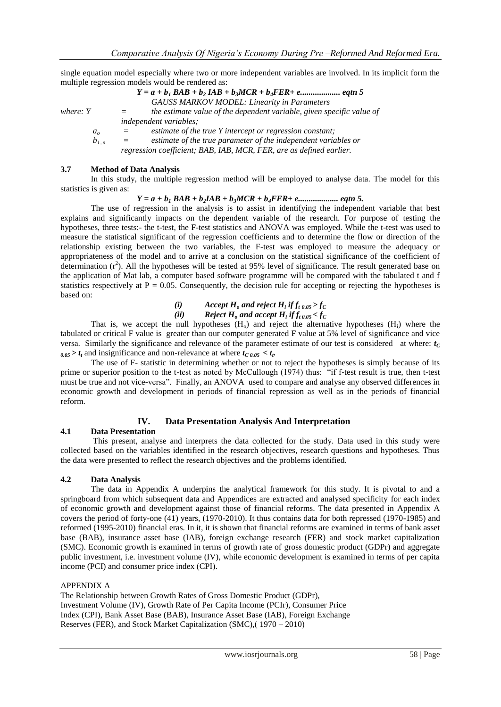single equation model especially where two or more independent variables are involved. In its implicit form the multiple regression models would be rendered as:

*Y = a + b<sup>1</sup> BAB + b<sup>2</sup> IAB + b3MCR + b4FER***+** *e................... eqtn 5*

*GAUSS MARKOV MODEL: Linearity in Parameters* 

*where: Y = the estimate value of the dependent variable, given specific value of* 

*independent variables;*  $a<sub>o</sub>$  = estimate of the true Y intercept or regression constant;

 $b_{1,n}$   $=$  *estimate of the true parameter of the independent variables or* 

*regression coefficient; BAB, IAB, MCR, FER, are as defined earlier.*

#### **3.7 Method of Data Analysis**

In this study, the multiple regression method will be employed to analyse data. The model for this statistics is given as:

## *Y = a + b<sup>1</sup> BAB + b2IAB + b3MCR + b4FER***+** *e................... eqtn 5.*

The use of regression in the analysis is to assist in identifying the independent variable that best explains and significantly impacts on the dependent variable of the research. For purpose of testing the hypotheses, three tests:- the t-test, the F-test statistics and ANOVA was employed. While the t-test was used to measure the statistical significant of the regression coefficients and to determine the flow or direction of the relationship existing between the two variables, the F-test was employed to measure the adequacy or appropriateness of the model and to arrive at a conclusion on the statistical significance of the coefficient of determination  $(r^2)$ . All the hypotheses will be tested at 95% level of significance. The result generated base on the application of Mat lab, a computer based software programme will be compared with the tabulated t and f statistics respectively at  $P = 0.05$ . Consequently, the decision rule for accepting or rejecting the hypotheses is based on:

## *(i)*  $\qquad$  *Accept*  $H_o$  *and reject*  $H_i$  *if*  $f_t$   $_{0.05}$  >  $f_c$ *(ii) Reject* $H_o$ *and accept* $H_i$ *if* $f_t$ *0.05* **<**  $f_c$

That is, we accept the null hypotheses  $(H_0)$  and reject the alternative hypotheses  $(H_i)$  where the tabulated or critical F value is greater than our computer generated F value at 5% level of significance and vice versa. Similarly the significance and relevance of the parameter estimate of our test is considered at where:  $t_C$  $\epsilon_{0.05}$  >  $t_t$  and insignificance and non-relevance at where  $t_{C,0.05} < t_t$ .

The use of F- statistic in determining whether or not to reject the hypotheses is simply because of its prime or superior position to the t-test as noted by McCullough (1974) thus: "if f-test result is true, then t-test must be true and not vice-versa". Finally, an ANOVA used to compare and analyse any observed differences in economic growth and development in periods of financial repression as well as in the periods of financial reform.

## **IV. Data Presentation Analysis And Interpretation**

## **4.1 Data Presentation**

This present, analyse and interprets the data collected for the study. Data used in this study were collected based on the variables identified in the research objectives, research questions and hypotheses. Thus the data were presented to reflect the research objectives and the problems identified.

## **4.2 Data Analysis**

The data in Appendix A underpins the analytical framework for this study. It is pivotal to and a springboard from which subsequent data and Appendices are extracted and analysed specificity for each index of economic growth and development against those of financial reforms. The data presented in Appendix A covers the period of forty-one (41) years, (1970-2010). It thus contains data for both repressed (1970-1985) and reformed (1995-2010) financial eras. In it, it is shown that financial reforms are examined in terms of bank asset base (BAB), insurance asset base (IAB), foreign exchange research (FER) and stock market capitalization (SMC). Economic growth is examined in terms of growth rate of gross domestic product (GDPr) and aggregate public investment, i.e. investment volume (IV), while economic development is examined in terms of per capita income (PCI) and consumer price index (CPI).

## APPENDIX A

The Relationship between Growth Rates of Gross Domestic Product (GDPr), Investment Volume (IV), Growth Rate of Per Capita Income (PCIr), Consumer Price Index (CPI), Bank Asset Base (BAB), Insurance Asset Base (IAB), Foreign Exchange Reserves (FER), and Stock Market Capitalization (SMC),( 1970 – 2010)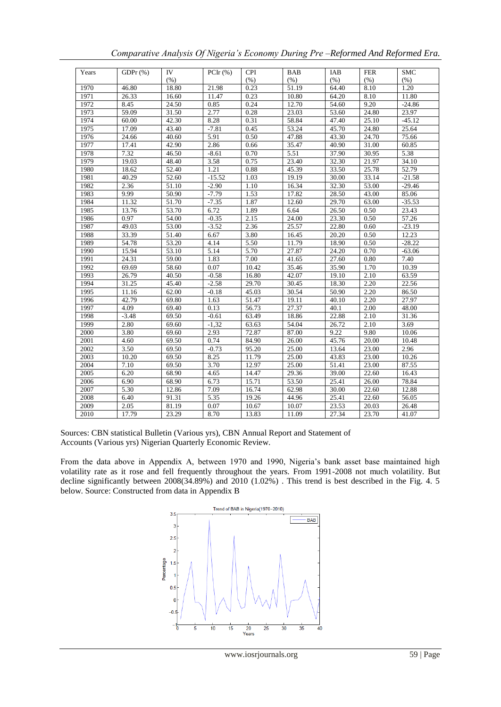| Years | $GDPr(\%)$ | IV    | $PCIr$ (%) | <b>CPI</b> | <b>BAB</b>         | IAB   | <b>FER</b>         | <b>SMC</b> |
|-------|------------|-------|------------|------------|--------------------|-------|--------------------|------------|
|       |            | (% )  |            | (% )       | (% )               | (% )  | (% )               | (% )       |
| 1970  | 46.80      | 18.80 | 21.98      | 0.23       | 51.19              | 64.40 | 8.10               | 1.20       |
| 1971  | 26.33      | 16.60 | 11.47      | 0.23       | 10.80              | 64.20 | 8.10               | 11.80      |
| 1972  | 8.45       | 24.50 | 0.85       | 0.24       | 12.70              | 54.60 | 9.20               | $-24.86$   |
| 1973  | 59.09      | 31.50 | 2.77       | 0.28       | 23.03              | 53.60 | 24.80              | 23.97      |
| 1974  | 60.00      | 42.30 | 8.28       | 0.31       | 58.84              | 47.40 | 25.10              | $-45.12$   |
| 1975  | 17.09      | 43.40 | $-7.81$    | 0.45       | 53.24              | 45.70 | 24.80              | 25.64      |
| 1976  | 24.66      | 40.60 | 5.91       | 0.50       | 47.88              | 43.30 | 24.70              | 75.66      |
| 1977  | 17.41      | 42.90 | 2.86       | 0.66       | 35.47              | 40.90 | 31.00              | 60.85      |
| 1978  | 7.32       | 46.50 | $-8.61$    | 0.70       | 5.51               | 37.90 | 30.95              | 5.38       |
| 1979  | 19.03      | 48.40 | 3.58       | 0.75       | 23.40              | 32.30 | 21.97              | 34.10      |
| 1980  | 18.62      | 52.40 | 1.21       | 0.88       | 45.39              | 33.50 | 25.78              | 52.79      |
| 1981  | 40.29      | 52.60 | $-15.52$   | 1.03       | 19.19              | 30.00 | 33.14              | $-21.58$   |
| 1982  | 2.36       | 51.10 | $-2.90$    | 1.10       | 16.34              | 32.30 | 53.00              | $-29.46$   |
| 1983  | 9.99       | 50.90 | $-7.79$    | 1.53       | 17.82              | 28.50 | 43.00              | 85.06      |
| 1984  | 11.32      | 51.70 | $-7.35$    | 1.87       | 12.60              | 29.70 | 63.00              | $-35.53$   |
| 1985  | 13.76      | 53.70 | 6.72       | 1.89       | 6.64               | 26.50 | 0.50               | 23.43      |
| 1986  | 0.97       | 54.00 | $-0.35$    | 2.15       | $\overline{24.00}$ | 23.30 | 0.50               | 57.26      |
| 1987  | 49.03      | 53.00 | $-3.52$    | 2.36       | 25.57              | 22.80 | 0.60               | $-23.19$   |
| 1988  | 33.39      | 51.40 | 6.67       | 3.80       | 16.45              | 20.20 | 0.50               | 12.23      |
| 1989  | 54.78      | 53.20 | 4.14       | 5.50       | 11.79              | 18.90 | 0.50               | $-28.22$   |
| 1990  | 15.94      | 53.10 | 5.14       | 5.70       | 27.87              | 24.20 | 0.70               | $-63.06$   |
| 1991  | 24.31      | 59.00 | 1.83       | 7.00       | 41.65              | 27.60 | 0.80               | 7.40       |
| 1992  | 69.69      | 58.60 | 0.07       | 10.42      | 35.46              | 35.90 | 1.70               | 10.39      |
| 1993  | 26.79      | 40.50 | $-0.58$    | 16.80      | 42.07              | 19.10 | 2.10               | 63.59      |
| 1994  | 31.25      | 45.40 | $-2.58$    | 29.70      | 30.45              | 18.30 | 2.20               | 22.56      |
| 1995  | 11.16      | 62.00 | $-0.18$    | 45.03      | 30.54              | 50.90 | 2.20               | 86.50      |
| 1996  | 42.79      | 69.80 | 1.63       | 51.47      | 19.11              | 40.10 | 2.20               | 27.97      |
| 1997  | 4.09       | 69.40 | 0.13       | 56.73      | 27.37              | 40.1  | 2.00               | 48.00      |
| 1998  | $-3.48$    | 69.50 | $-0.61$    | 63.49      | 18.86              | 22.88 | 2.10               | 31.36      |
| 1999  | 2.80       | 69.60 | $-1,32$    | 63.63      | 54.04              | 26.72 | 2.10               | 3.69       |
| 2000  | 3.80       | 69.60 | 2.93       | 72.87      | 87.00              | 9.22  | 9.80               | 10.06      |
| 2001  | 4.60       | 69.50 | 0.74       | 84.90      | 26.00              | 45.76 | $\overline{20.00}$ | 10.48      |
| 2002  | 3.50       | 69.50 | $-0.73$    | 95.20      | 25.00              | 13.64 | 23.00              | 2.96       |
| 2003  | 10.20      | 69.50 | 8.25       | 11.79      | 25.00              | 43.83 | 23.00              | 10.26      |
| 2004  | 7.10       | 69.50 | 3.70       | 12.97      | 25.00              | 51.41 | 23.00              | 87.55      |
| 2005  | 6.20       | 68.90 | 4.65       | 14.47      | 29.36              | 39.00 | 22.60              | 16.43      |
| 2006  | 6.90       | 68.90 | 6.73       | 15.71      | 53.50              | 25.41 | 26.00              | 78.84      |
| 2007  | 5.30       | 12.86 | 7.09       | 16.74      | 62.98              | 30.00 | 22.60              | 12.88      |
| 2008  | 6.40       | 91.31 | 5.35       | 19.26      | 44.96              | 25.41 | 22.60              | 56.05      |
| 2009  | 2.05       | 81.19 | 0.07       | 10.67      | 10.07              | 23.53 | 20.03              | 26.48      |
| 2010  | 17.79      | 23.29 | 8.70       | 13.83      | 11.09              | 27.34 | 23.70              | 41.07      |

*Comparative Analysis Of Nigeria's Economy During Pre –Reformed And Reformed Era.*

Sources: CBN statistical Bulletin (Various yrs), CBN Annual Report and Statement of Accounts (Various yrs) Nigerian Quarterly Economic Review.

From the data above in Appendix A, between 1970 and 1990, Nigeria's bank asset base maintained high volatility rate as it rose and fell frequently throughout the years. From 1991-2008 not much volatility. But decline significantly between 2008(34.89%) and 2010 (1.02%) . This trend is best described in the Fig. 4. 5 below. Source: Constructed from data in Appendix B

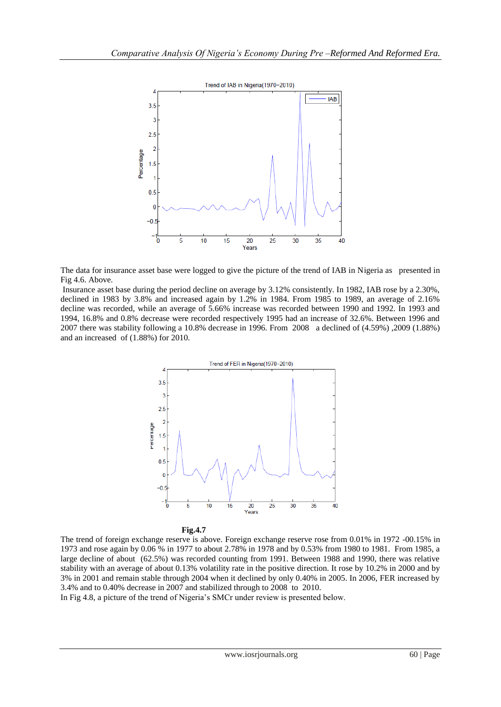

The data for insurance asset base were logged to give the picture of the trend of IAB in Nigeria as presented in Fig 4.6. Above.

Insurance asset base during the period decline on average by 3.12% consistently. In 1982, IAB rose by a 2.30%, declined in 1983 by 3.8% and increased again by 1.2% in 1984. From 1985 to 1989, an average of 2.16% decline was recorded, while an average of 5.66% increase was recorded between 1990 and 1992. In 1993 and 1994, 16.8% and 0.8% decrease were recorded respectively 1995 had an increase of 32.6%. Between 1996 and 2007 there was stability following a 10.8% decrease in 1996. From 2008 a declined of (4.59%) ,2009 (1.88%) and an increased of (1.88%) for 2010.



#### **Fig.4.7**

The trend of foreign exchange reserve is above. Foreign exchange reserve rose from 0.01% in 1972 -00.15% in 1973 and rose again by 0.06 % in 1977 to about 2.78% in 1978 and by 0.53% from 1980 to 1981. From 1985, a large decline of about (62.5%) was recorded counting from 1991. Between 1988 and 1990, there was relative stability with an average of about 0.13% volatility rate in the positive direction. It rose by 10.2% in 2000 and by 3% in 2001 and remain stable through 2004 when it declined by only 0.40% in 2005. In 2006, FER increased by 3.4% and to 0.40% decrease in 2007 and stabilized through to 2008 to 2010.

In Fig 4.8, a picture of the trend of Nigeria"s SMCr under review is presented below.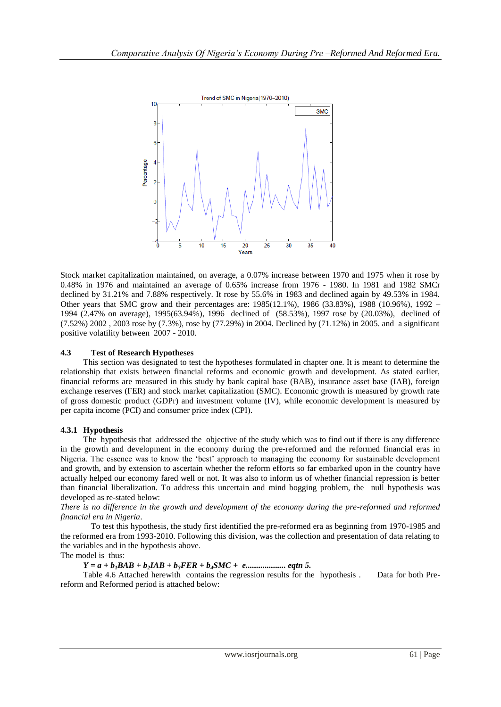

Stock market capitalization maintained, on average, a 0.07% increase between 1970 and 1975 when it rose by 0.48% in 1976 and maintained an average of 0.65% increase from 1976 - 1980. In 1981 and 1982 SMCr declined by 31.21% and 7.88% respectively. It rose by 55.6% in 1983 and declined again by 49.53% in 1984. Other years that SMC grow and their percentages are: 1985(12.1%), 1986 (33.83%), 1988 (10.96%), 1992 – 1994 (2.47% on average), 1995(63.94%), 1996 declined of (58.53%), 1997 rose by (20.03%), declined of (7.52%) 2002 , 2003 rose by (7.3%), rose by (77.29%) in 2004. Declined by (71.12%) in 2005. and a significant positive volatility between 2007 - 2010.

## **4.3 Test of Research Hypotheses**

This section was designated to test the hypotheses formulated in chapter one. It is meant to determine the relationship that exists between financial reforms and economic growth and development. As stated earlier, financial reforms are measured in this study by bank capital base (BAB), insurance asset base (IAB), foreign exchange reserves (FER) and stock market capitalization (SMC). Economic growth is measured by growth rate of gross domestic product (GDPr) and investment volume (IV), while economic development is measured by per capita income (PCI) and consumer price index (CPI).

## **4.3.1 Hypothesis**

The hypothesis that addressed the objective of the study which was to find out if there is any difference in the growth and development in the economy during the pre-reformed and the reformed financial eras in Nigeria. The essence was to know the "best" approach to managing the economy for sustainable development and growth, and by extension to ascertain whether the reform efforts so far embarked upon in the country have actually helped our economy fared well or not. It was also to inform us of whether financial repression is better than financial liberalization. To address this uncertain and mind bogging problem, the null hypothesis was developed as re-stated below:

*There is no difference in the growth and development of the economy during the pre-reformed and reformed financial era in Nigeria*.

To test this hypothesis, the study first identified the pre-reformed era as beginning from 1970-1985 and the reformed era from 1993-2010. Following this division, was the collection and presentation of data relating to the variables and in the hypothesis above.

#### The model is thus:

## *Y = a + b1BAB + b2IAB + b3FER + b4SMC* **+** *e................... eqtn 5.*

Table 4.6 Attached herewith contains the regression results for the hypothesis . Data for both Prereform and Reformed period is attached below: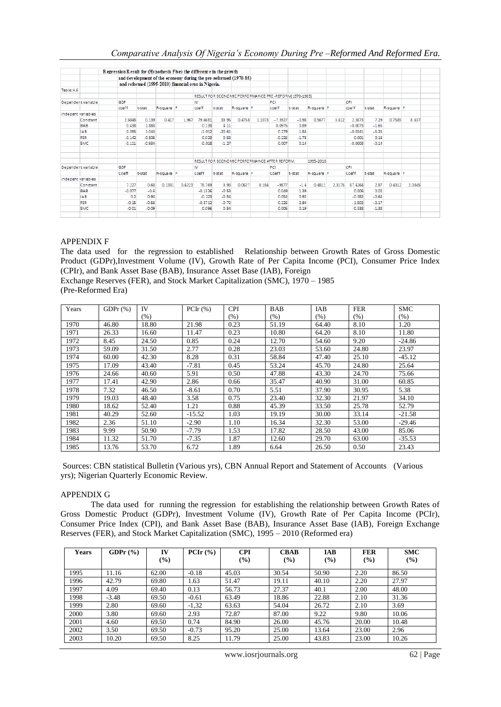# *Comparative Analysis Of Nigeria's Economy During Pre –Reformed And Reformed Era.*

|                    | Regression Result for (Hypothesis Five) the difference in the growth |                                                                  |            |        |           |          |            |        |                                               |                                                        |            |        |           |         |            |        |
|--------------------|----------------------------------------------------------------------|------------------------------------------------------------------|------------|--------|-----------|----------|------------|--------|-----------------------------------------------|--------------------------------------------------------|------------|--------|-----------|---------|------------|--------|
|                    |                                                                      | and development of the economy during the pre-reformed (1970-85) |            |        |           |          |            |        |                                               |                                                        |            |        |           |         |            |        |
|                    |                                                                      | and reformed (1995-2010) financial eras in Nigeria.              |            |        |           |          |            |        |                                               |                                                        |            |        |           |         |            |        |
| Table: 4.6         |                                                                      |                                                                  |            |        |           |          |            |        |                                               |                                                        |            |        |           |         |            |        |
|                    |                                                                      |                                                                  |            |        |           |          |            |        |                                               | RESULT FOR ECONOMIC PERFORMANCE PRE -REFORM(1970-1985) |            |        |           |         |            |        |
| Dependent variable | GDP                                                                  |                                                                  |            |        | <b>IV</b> |          |            |        | PCI                                           |                                                        |            |        | CPI       |         |            |        |
|                    | coeff                                                                | t-stat                                                           | R-square F |        | coeff     | t-stat   | R-square F |        | coeff                                         | t-stat                                                 | R-square F |        | coeff     | t-stat  | R-square F |        |
| Indepent variables |                                                                      |                                                                  |            |        |           |          |            |        |                                               |                                                        |            |        |           |         |            |        |
| Constant           | 2.6048                                                               | 0.139                                                            | 0.417      | 1.967  | 79.6681   | 33.95    | 0.4758     | 1.1073 | $-7.3927$                                     | $-0.98$                                                | 0.5677     | 3.612  | 2.3873    | 7.29    | 0.7585     | 8.637  |
| BAB                | 0.438                                                                | 1.888                                                            |            |        | 0.138     | 4.11     |            |        | 0.0975                                        | 0.89                                                   |            |        | $-0.0073$ | $-1.65$ |            |        |
| <b>IAB</b>         | 0.355                                                                | 1.044                                                            |            |        | $-1.012$  | $-20.61$ |            |        | 0.279                                         | 1.84                                                   |            |        | $-0.0341$ | $-5.25$ |            |        |
| FER                | $-0.142$                                                             | $-0.506$                                                         |            |        | 0.023     | 0.53     |            |        | $-0.225$                                      | $-1.78$                                                |            |        | 0.001     | 0.16    |            |        |
| SMC                | $-0.111$                                                             | $-0.934$                                                         |            |        | $-0.018$  | $-1.27$  |            |        | 0.007                                         | 0.14                                                   |            |        | $-0.0003$ | $-0.14$ |            |        |
|                    |                                                                      |                                                                  |            |        |           |          |            |        |                                               |                                                        |            |        |           |         |            |        |
|                    |                                                                      |                                                                  |            |        |           |          |            |        |                                               |                                                        |            |        |           |         |            |        |
|                    |                                                                      |                                                                  |            |        |           |          |            |        | RESULT FOR ECONOMIC PERFORMANCE AFTER REFORM. |                                                        | 1995-2010  |        |           |         |            |        |
| Dependent variable | GDP                                                                  |                                                                  |            |        | <b>IV</b> |          |            |        | PCI                                           |                                                        |            |        | CPI       |         |            |        |
|                    | Coeff                                                                | t-stat                                                           | R-square F |        | Coeff     | t-stat   | R-square F |        | Coeff                                         | t-stat                                                 | R-square F |        | Coeff     | t-stat  | R-square F |        |
| Indepent variables |                                                                      |                                                                  |            |        |           |          |            |        |                                               |                                                        |            |        |           |         |            |        |
| Constant           | 7.227                                                                | 0.68                                                             | 0.1331     | 0.4223 | 78.769    | 3.93     | 0.0627     | 0.184  | $-9877$                                       | $-1.4$                                                 | 0.4811     | 2.3175 | 87.4264   | 2.87    | 0.4312     | 2.0845 |
| BAB                | $-0.077$                                                             | $-0.6$                                                           |            |        | $-0.1326$ | $-0.53$  |            |        | 0.049                                         | 1.39                                                   |            |        | 0.006     | 0.02    |            |        |
| <b>IAB</b>         | 0.2                                                                  | 0.94                                                             |            |        | $-0.223$  | $-0.54$  |            |        | 0.054                                         | 0.92                                                   |            |        | $-0.382$  | $-0.64$ |            |        |
| FER                | $-0.15$                                                              | $-0.56$                                                          |            |        | $-0.3712$ | $-0.72$  |            |        | 0.225                                         | 2.94                                                   |            |        | $-1.502$  | $-2.17$ |            |        |
| SMC                | $-0.01$                                                              | $-0.09$                                                          |            |        | 0.096     | 0.54     |            |        | 0.005                                         | 0.19                                                   |            |        | $-0.338$  | $-1.38$ |            |        |

#### APPENDIX F

The data used for the regression to established Relationship between Growth Rates of Gross Domestic Product (GDPr),Investment Volume (IV), Growth Rate of Per Capita Income (PCI), Consumer Price Index (CPIr), and Bank Asset Base (BAB), Insurance Asset Base (IAB), Foreign

Exchange Reserves (FER), and Stock Market Capitalization (SMC), 1970 – 1985 (Pre-Reformed Era)

| Years | $GDPr(\%)$ | <b>IV</b> | $PCLr$ (%) | <b>CPI</b> | <b>BAB</b> | IAB     | <b>FER</b> | <b>SMC</b> |
|-------|------------|-----------|------------|------------|------------|---------|------------|------------|
|       |            | (% )      |            | (% )       | (%)        | $(\% )$ | (% )       | (% )       |
| 1970  | 46.80      | 18.80     | 21.98      | 0.23       | 51.19      | 64.40   | 8.10       | 1.20       |
| 1971  | 26.33      | 16.60     | 11.47      | 0.23       | 10.80      | 64.20   | 8.10       | 11.80      |
| 1972  | 8.45       | 24.50     | 0.85       | 0.24       | 12.70      | 54.60   | 9.20       | $-24.86$   |
| 1973  | 59.09      | 31.50     | 2.77       | 0.28       | 23.03      | 53.60   | 24.80      | 23.97      |
| 1974  | 60.00      | 42.30     | 8.28       | 0.31       | 58.84      | 47.40   | 25.10      | $-45.12$   |
| 1975  | 17.09      | 43.40     | $-7.81$    | 0.45       | 53.24      | 45.70   | 24.80      | 25.64      |
| 1976  | 24.66      | 40.60     | 5.91       | 0.50       | 47.88      | 43.30   | 24.70      | 75.66      |
| 1977  | 17.41      | 42.90     | 2.86       | 0.66       | 35.47      | 40.90   | 31.00      | 60.85      |
| 1978  | 7.32       | 46.50     | $-8.61$    | 0.70       | 5.51       | 37.90   | 30.95      | 5.38       |
| 1979  | 19.03      | 48.40     | 3.58       | 0.75       | 23.40      | 32.30   | 21.97      | 34.10      |
| 1980  | 18.62      | 52.40     | 1.21       | 0.88       | 45.39      | 33.50   | 25.78      | 52.79      |
| 1981  | 40.29      | 52.60     | $-15.52$   | 1.03       | 19.19      | 30.00   | 33.14      | $-21.58$   |
| 1982  | 2.36       | 51.10     | $-2.90$    | 1.10       | 16.34      | 32.30   | 53.00      | $-29.46$   |
| 1983  | 9.99       | 50.90     | $-7.79$    | 1.53       | 17.82      | 28.50   | 43.00      | 85.06      |
| 1984  | 11.32      | 51.70     | $-7.35$    | 1.87       | 12.60      | 29.70   | 63.00      | $-35.53$   |
| 1985  | 13.76      | 53.70     | 6.72       | 1.89       | 6.64       | 26.50   | 0.50       | 23.43      |

Sources: CBN statistical Bulletin (Various yrs), CBN Annual Report and Statement of Accounts (Various yrs); Nigerian Quarterly Economic Review.

#### APPENDIX G

The data used for running the regression for establishing the relationship between Growth Rates of Gross Domestic Product (GDPr), Investment Volume (IV), Growth Rate of Per Capita Income (PCIr), Consumer Price Index (CPI), and Bank Asset Base (BAB), Insurance Asset Base (IAB), Foreign Exchange Reserves (FER), and Stock Market Capitalization (SMC), 1995 – 2010 (Reformed era)

| <b>Years</b> | GDPr $(\%)$ | IV    | $PCIr$ $\left(\frac{9}{6}\right)$ | <b>CPI</b> | <b>CBAB</b> | <b>IAB</b> | <b>FER</b> | <b>SMC</b> |
|--------------|-------------|-------|-----------------------------------|------------|-------------|------------|------------|------------|
|              |             | (%)   |                                   | (%)        | $(\%)$      | $(\%)$     | (%)        | (%)        |
| 1995         | 11.16       | 62.00 | $-0.18$                           | 45.03      | 30.54       | 50.90      | 2.20       | 86.50      |
| 1996         | 42.79       | 69.80 | 1.63                              | 51.47      | 19.11       | 40.10      | 2.20       | 27.97      |
| 1997         | 4.09        | 69.40 | 0.13                              | 56.73      | 27.37       | 40.1       | 2.00       | 48.00      |
| 1998         | $-3.48$     | 69.50 | $-0.61$                           | 63.49      | 18.86       | 22.88      | 2.10       | 31.36      |
| 1999         | 2.80        | 69.60 | $-1,32$                           | 63.63      | 54.04       | 26.72      | 2.10       | 3.69       |
| 2000         | 3.80        | 69.60 | 2.93                              | 72.87      | 87.00       | 9.22       | 9.80       | 10.06      |
| 2001         | 4.60        | 69.50 | 0.74                              | 84.90      | 26.00       | 45.76      | 20.00      | 10.48      |
| 2002         | 3.50        | 69.50 | $-0.73$                           | 95.20      | 25.00       | 13.64      | 23.00      | 2.96       |
| 2003         | 10.20       | 69.50 | 8.25                              | 11.79      | 25.00       | 43.83      | 23.00      | 10.26      |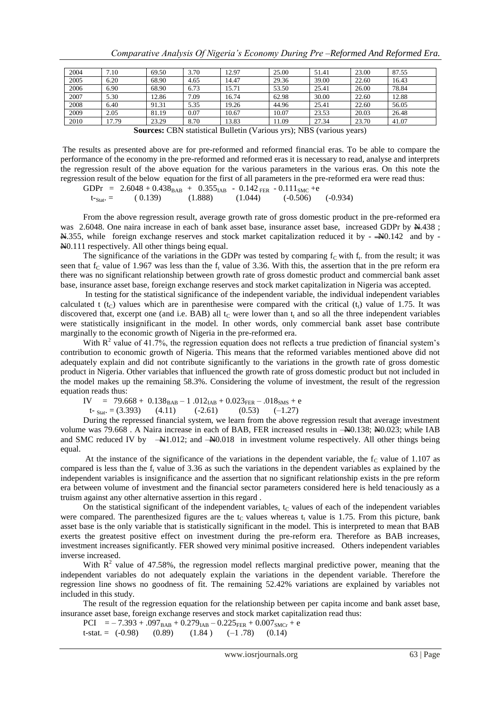*Comparative Analysis Of Nigeria's Economy During Pre –Reformed And Reformed Era.*

| 2004 | 7.10  | 69.50                                 | 3.70 | 12.97 | 25.00 | 51.41 | 23.00 | 87.55 |  |
|------|-------|---------------------------------------|------|-------|-------|-------|-------|-------|--|
| 2005 | 6.20  | 68.90                                 | 4.65 | 14.47 | 29.36 | 39.00 | 22.60 | 16.43 |  |
| 2006 | 6.90  | 68.90                                 | 6.73 | 15.71 | 53.50 | 25.41 | 26.00 | 78.84 |  |
| 2007 | 5.30  | 12.86                                 | 7.09 | 16.74 | 62.98 | 30.00 | 22.60 | 12.88 |  |
| 2008 | 6.40  | 91.31                                 | 5.35 | 19.26 | 44.96 | 25.41 | 22.60 | 56.05 |  |
| 2009 | 2.05  | 81.19                                 | 0.07 | 10.67 | 10.07 | 23.53 | 20.03 | 26.48 |  |
| 2010 | 17.79 | 23.29                                 | 8.70 | 13.83 | 1.09  | 27.34 | 23.70 | 41.07 |  |
|      |       | $\alpha$ and $\alpha$ in the $\alpha$ |      |       |       |       |       |       |  |

The results as presented above are for pre-reformed and reformed financial eras. To be able to compare the performance of the economy in the pre-reformed and reformed eras it is necessary to read, analyse and interprets the regression result of the above equation for the various parameters in the various eras. On this note the regression result of the below equation for the first of all parameters in the pre-reformed era were read thus:

GDPr =  $2.6048 + 0.438_{BAB} + 0.355_{IAB} - 0.142_{FER} - 0.111_{SMC} +e$ <br>t-Stat. = (0.139) (1.888) (1.044) (-0.506)  $t_{\text{stat.}} = (0.139)$   $(1.888)$   $(1.044)$   $(-0.506)$   $(-0.934)$ 

From the above regression result, average growth rate of gross domestic product in the pre-reformed era was 2.6048. One naira increase in each of bank asset base, insurance asset base, increased GDPr by  $\mathbb{A}$ .438; N.355, while foreign exchange reserves and stock market capitalization reduced it by - N0.142 and by - N0.111 respectively. All other things being equal.

The significance of the variations in the GDPr was tested by comparing  $f_c$  with  $f_t$ . from the result; it was seen that  $f_c$  value of 1.967 was less than the  $f_t$  value of 3.36. With this, the assertion that in the pre reform era there was no significant relationship between growth rate of gross domestic product and commercial bank asset base, insurance asset base, foreign exchange reserves and stock market capitalization in Nigeria was accepted.

In testing for the statistical significance of the independent variable, the individual independent variables calculated t  $(t<sub>C</sub>)$  values which are in parenthesise were compared with the critical  $(t<sub>t</sub>)$  value of 1.75. It was discovered that, excerpt one (and i.e. BAB) all  $t_c$  were lower than  $t_t$  and so all the three independent variables were statistically insignificant in the model. In other words, only commercial bank asset base contribute marginally to the economic growth of Nigeria in the pre-reformed era.

With  $R<sup>2</sup>$  value of 41.7%, the regression equation does not reflects a true prediction of financial system's contribution to economic growth of Nigeria. This means that the reformed variables mentioned above did not adequately explain and did not contribute significantly to the variations in the growth rate of gross domestic product in Nigeria. Other variables that influenced the growth rate of gross domestic product but not included in the model makes up the remaining 58.3%. Considering the volume of investment, the result of the regression equation reads thus:

$$
IV = 79.668 + 0.138_{BAB} - 1.012_{IAB} + 0.023_{FER} - .018_{SMS} + e
$$

t-  $_{\text{Stat.}} = (3.393)$   $(4.11)$   $(-2.61)$   $(0.53)$   $(-1.27)$ 

During the repressed financial system, we learn from the above regression result that average investment volume was 79.668. A Naira increase in each of BAB, FER increased results in  $-\frac{N}{10}$ .138;  $\frac{N}{10}$ .023; while IAB and SMC reduced IV by  $-\frac{N1.012}{N}$ ; and  $-\frac{N0.018}{N}$  in investment volume respectively. All other things being equal.

At the instance of the significance of the variations in the dependent variable, the  $f_c$  value of 1.107 as compared is less than the  $f<sub>t</sub>$  value of 3.36 as such the variations in the dependent variables as explained by the independent variables is insignificance and the assertion that no significant relationship exists in the pre reform era between volume of investment and the financial sector parameters considered here is held tenaciously as a truism against any other alternative assertion in this regard .

On the statistical significant of the independent variables,  $t<sub>C</sub>$  values of each of the independent variables were compared. The parenthesized figures are the  $t_C$  values whereas  $t_t$  value is 1.75. From this picture, bank asset base is the only variable that is statistically significant in the model. This is interpreted to mean that BAB exerts the greatest positive effect on investment during the pre-reform era. Therefore as BAB increases, investment increases significantly. FER showed very minimal positive increased. Others independent variables inverse increased.

With  $R^2$  value of 47.58%, the regression model reflects marginal predictive power, meaning that the independent variables do not adequately explain the variations in the dependent variable. Therefore the regression line shows no goodness of fit. The remaining 52.42% variations are explained by variables not included in this study.

The result of the regression equation for the relationship between per capita income and bank asset base, insurance asset base, foreign exchange reserves and stock market capitalization read thus:

PCI = -7.393 + .097<sub>BAB</sub> + 0.279<sub>IAB</sub> - 0.225<sub>FER</sub> + 0.007<sub>SMCr</sub> + e<br>t-stat. = (-0.98) (0.89) (1.84) (-1.78) (0.14) t-stat. =  $(-0.98)$   $(0.89)$   $(1.84)$   $(-1.78)$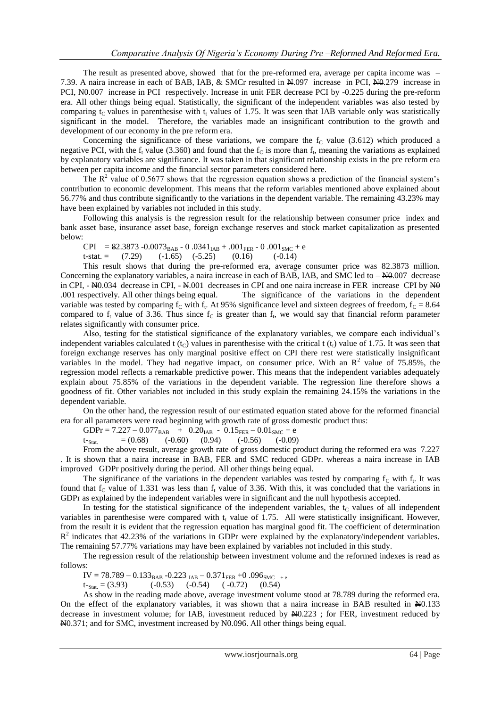The result as presented above, showed that for the pre-reformed era, average per capita income was – 7.39. A naira increase in each of BAB, IAB, & SMCr resulted in  $\frac{10.097}{10.097}$  increase in PCI,  $\frac{10.097}{10.097}$  increase in PCI, N0.007 increase in PCI respectively. Increase in unit FER decrease PCI by -0.225 during the pre-reform era. All other things being equal. Statistically, the significant of the independent variables was also tested by comparing  $t_c$  values in parenthesise with  $t_t$  values of 1.75. It was seen that IAB variable only was statistically significant in the model. Therefore, the variables made an insignificant contribution to the growth and development of our economy in the pre reform era.

Concerning the significance of these variations, we compare the  $f<sub>C</sub>$  value (3.612) which produced a negative PCI, with the  $f_t$  value (3.360) and found that the  $f_c$  is more than  $f_t$ , meaning the variations as explained by explanatory variables are significance. It was taken in that significant relationship exists in the pre reform era between per capita income and the financial sector parameters considered here.

The  $R<sup>2</sup>$  value of 0.5677 shows that the regression equation shows a prediction of the financial system's contribution to economic development. This means that the reform variables mentioned above explained about 56.77% and thus contribute significantly to the variations in the dependent variable. The remaining 43.23% may have been explained by variables not included in this study.

Following this analysis is the regression result for the relationship between consumer price index and bank asset base, insurance asset base, foreign exchange reserves and stock market capitalization as presented below:

CPI =  $\text{£}$  = 0.0073<sub>BAB</sub> - 0.0341<sub>IAB</sub> + .001<sub>FER</sub> - 0.001<sub>SMC</sub> + e t-stat. =  $(7.29)$   $(-1.65)$   $(-5.25)$   $(0.16)$   $(-0.14)$ 

This result shows that during the pre-reformed era, average consumer price was 82.3873 million. Concerning the explanatory variables, a naira increase in each of BAB, IAB, and SMC led to  $-\frac{NQ}{NQ}$  decrease in CPI, - N0.034 decrease in CPI, - N.001 decreases in CPI and one naira increase in FER increase CPI by N0 .001 respectively. All other things being equal. The significance of the variations in the dependent variable was tested by comparing  $f_c$  with  $f_t$ . At 95% significance level and sixteen degrees of freedom,  $f_c = 8.64$ compared to  $f_t$  value of 3.36. Thus since  $f_c$  is greater than  $f_t$ , we would say that financial reform parameter relates significantly with consumer price.

Also, testing for the statistical significance of the explanatory variables, we compare each individual"s independent variables calculated t ( $t<sub>C</sub>$ ) values in parenthesise with the critical t ( $t<sub>t</sub>$ ) value of 1.75. It was seen that foreign exchange reserves has only marginal positive effect on CPI there rest were statistically insignificant variables in the model. They had negative impact, on consumer price. With an  $R^2$  value of 75.85%, the regression model reflects a remarkable predictive power. This means that the independent variables adequately explain about 75.85% of the variations in the dependent variable. The regression line therefore shows a goodness of fit. Other variables not included in this study explain the remaining 24.15% the variations in the dependent variable.

On the other hand, the regression result of our estimated equation stated above for the reformed financial era for all parameters were read beginning with growth rate of gross domestic product thus:

GDPr = 7.227 – 0.077<sub>BAB</sub> + 0.20<sub>IAB</sub> - 0.15<sub>FER</sub> – 0.01<sub>SMC</sub> + e

 $t_{\text{Stat}} = (0.68)$  (-0.60) (0.94) (-0.56) (-0.09)

From the above result, average growth rate of gross domestic product during the reformed era was 7.227 . It is shown that a naira increase in BAB, FER and SMC reduced GDPr. whereas a naira increase in IAB improved GDPr positively during the period. All other things being equal.

The significance of the variations in the dependent variables was tested by comparing  $f_c$  with  $f_t$ . It was found that  $f_c$  value of 1.331 was less than  $f_t$  value of 3.36. With this, it was concluded that the variations in GDPr as explained by the independent variables were in significant and the null hypothesis accepted.

In testing for the statistical significance of the independent variables, the  $t<sub>C</sub>$  values of all independent variables in parenthesise were compared with  $t_t$  value of 1.75. All were statistically insignificant. However, from the result it is evident that the regression equation has marginal good fit. The coefficient of determination  $R<sup>2</sup>$  indicates that 42.23% of the variations in GDPr were explained by the explanatory/independent variables. The remaining 57.77% variations may have been explained by variables not included in this study.

The regression result of the relationship between investment volume and the reformed indexes is read as follows:

 $IV = 78.789 - 0.133<sub>BAB</sub> - 0.223<sub>IAB</sub> - 0.371<sub>FER</sub> + 0.096<sub>SMC + e</sub>$ <br>  $t_{\text{Stat.}} = (3.93)$   $(-0.53)$   $(-0.54)$   $(-0.72)$   $(0.54)$  $(-0.53)$   $(-0.54)$   $(-0.72)$   $(0.54)$ 

As show in the reading made above, average investment volume stood at 78.789 during the reformed era. On the effect of the explanatory variables, it was shown that a naira increase in BAB resulted in  $\frac{100}{133}$ decrease in investment volume; for IAB, investment reduced by  $\mathbb{N}0.223$ ; for FER, investment reduced by N0.371; and for SMC, investment increased by N0.096. All other things being equal.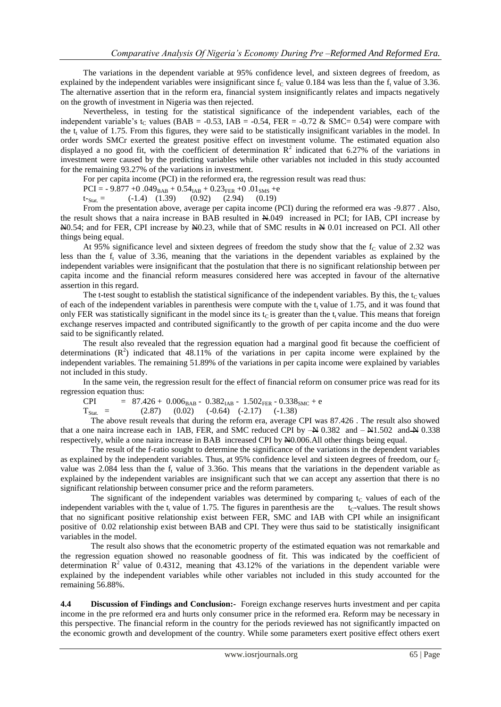The variations in the dependent variable at 95% confidence level, and sixteen degrees of freedom, as explained by the independent variables were insignificant since  $f_c$  value 0.184 was less than the  $f_t$  value of 3.36. The alternative assertion that in the reform era, financial system insignificantly relates and impacts negatively on the growth of investment in Nigeria was then rejected.

Nevertheless, in testing for the statistical significance of the independent variables, each of the independent variable's t<sub>C</sub> values (BAB = -0.53, IAB = -0.54, FER = -0.72 & SMC= 0.54) were compare with the  $t<sub>t</sub>$  value of 1.75. From this figures, they were said to be statistically insignificant variables in the model. In order words SMCr exerted the greatest positive effect on investment volume. The estimated equation also displayed a no good fit, with the coefficient of determination  $R^2$  indicated that 6.27% of the variations in investment were caused by the predicting variables while other variables not included in this study accounted for the remaining 93.27% of the variations in investment.

For per capita income (PCI) in the reformed era, the regression result was read thus:

 $PCI = -9.877 + 0.049<sub>BAB</sub> + 0.54<sub>IAB</sub> + 0.23<sub>FER</sub> + 0.01<sub>SMS</sub> + e$ 

t-<sub>Stat.</sub> = (-1.4) (1.39) (0.92) (2.94) (0.19)

From the presentation above, average per capita income (PCI) during the reformed era was -9.877 . Also, the result shows that a naira increase in BAB resulted in N.049 increased in PCI; for IAB, CPI increase by N0.54; and for FER, CPI increase by N0.23, while that of SMC results in N 0.01 increased on PCI. All other things being equal.

At 95% significance level and sixteen degrees of freedom the study show that the  $f_c$  value of 2.32 was less than the  $f_t$  value of 3.36, meaning that the variations in the dependent variables as explained by the independent variables were insignificant that the postulation that there is no significant relationship between per capita income and the financial reform measures considered here was accepted in favour of the alternative assertion in this regard.

The t-test sought to establish the statistical significance of the independent variables. By this, the  $t<sub>C</sub>$  values of each of the independent variables in parenthesis were compute with the  $t_t$  value of 1.75, and it was found that only FER was statistically significant in the model since its  $t<sub>C</sub>$  is greater than the  $t<sub>t</sub>$  value. This means that foreign exchange reserves impacted and contributed significantly to the growth of per capita income and the duo were said to be significantly related.

The result also revealed that the regression equation had a marginal good fit because the coefficient of determinations  $(R^2)$  indicated that 48.11% of the variations in per capita income were explained by the independent variables. The remaining 51.89% of the variations in per capita income were explained by variables not included in this study.

In the same vein, the regression result for the effect of financial reform on consumer price was read for its regression equation thus:

CPI =  $87.426 + 0.006_{BAB} - 0.382_{IAB} - 1.502_{FER} - 0.338_{SMC} + e$ 

 $T_{\text{Stat.}}$  = (2.87) (0.02) (-0.64) (-2.17) (-1.38)

The above result reveals that during the reform era, average CPI was 87.426 . The result also showed that a one naira increase each in IAB, FER, and SMC reduced CPI by  $-\text{H}$  0.382 and  $-\text{H}$ 1.502 and  $-\text{H}$  0.338 respectively, while a one naira increase in BAB increased CPI by N0.006.All other things being equal.

The result of the f-ratio sought to determine the significance of the variations in the dependent variables as explained by the independent variables. Thus, at 95% confidence level and sixteen degrees of freedom, our  $f_C$ value was 2.084 less than the f<sub>t</sub> value of 3.36o. This means that the variations in the dependent variable as explained by the independent variables are insignificant such that we can accept any assertion that there is no significant relationship between consumer price and the reform parameters.

The significant of the independent variables was determined by comparing  $t_c$  values of each of the independent variables with the  $t_t$  value of 1.75. The figures in parenthesis are the  $t_c$ -values. The result shows that no significant positive relationship exist between FER, SMC and IAB with CPI while an insignificant positive of 0.02 relationship exist between BAB and CPI. They were thus said to be statistically insignificant variables in the model.

The result also shows that the econometric property of the estimated equation was not remarkable and the regression equation showed no reasonable goodness of fit. This was indicated by the coefficient of determination  $\mathbb{R}^2$  value of 0.4312, meaning that 43.12% of the variations in the dependent variable were explained by the independent variables while other variables not included in this study accounted for the remaining 56.88%.

**4.4 Discussion of Findings and Conclusion:-** Foreign exchange reserves hurts investment and per capita income in the pre reformed era and hurts only consumer price in the reformed era. Reform may be necessary in this perspective. The financial reform in the country for the periods reviewed has not significantly impacted on the economic growth and development of the country. While some parameters exert positive effect others exert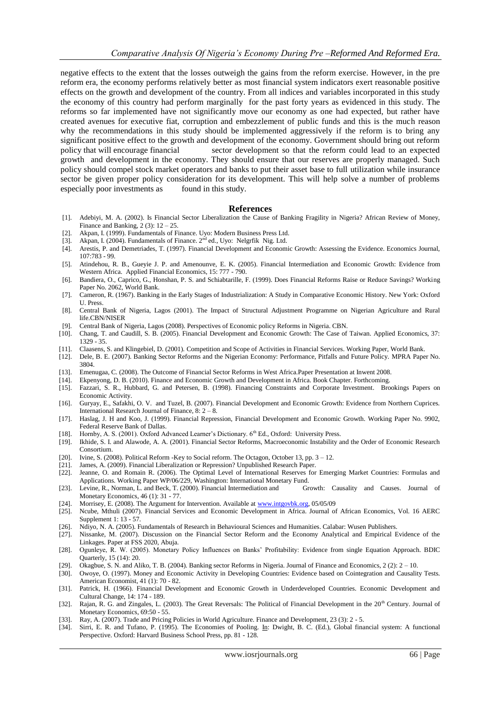negative effects to the extent that the losses outweigh the gains from the reform exercise. However, in the pre reform era, the economy performs relatively better as most financial system indicators exert reasonable positive effects on the growth and development of the country. From all indices and variables incorporated in this study the economy of this country had perform marginally for the past forty years as evidenced in this study. The reforms so far implemented have not significantly move our economy as one had expected, but rather have created avenues for executive fiat, corruption and embezzlement of public funds and this is the much reason why the recommendations in this study should be implemented aggressively if the reform is to bring any significant positive effect to the growth and development of the economy. Government should bring out reform policy that will encourage financial sector development so that the reform could lead to an expected growth and development in the economy. They should ensure that our reserves are properly managed. Such policy should compel stock market operators and banks to put their asset base to full utilization while insurance sector be given proper policy consideration for its development. This will help solve a number of problems especially poor investments as found in this study.

#### **References**

- [1]. Adebiyi, M. A. (2002). Is Financial Sector Liberalization the Cause of Banking Fragility in Nigeria? African Review of Money, Finance and Banking,  $2$  (3):  $12 - 25$ .
- [2]. Akpan, I. (1999). Fundamentals of Finance. Uyo: Modern Business Press Ltd.
- [3]. Akpan, I. (2004). Fundamentals of Finance. 2nd ed., Uyo: Nelgrfik Nig. Ltd.
- [4]. Arestis, P. and Demetriades, T. (1997). Financial Development and Economic Growth: Assessing the Evidence. Economics Journal, 107:783 - 99.
- [5]. Atindehou, R. B., Gueyie J. P. and Amenounve, E. K. (2005). Financial Intermediation and Economic Growth: Evidence from Western Africa. Applied Financial Economics, 15: 777 - 790.
- [6]. Bandiera, O., Caprico, G., Honshan, P. S. and Schiabtarille, F. (1999). Does Financial Reforms Raise or Reduce Savings? Working Paper No. 2062, World Bank.
- [7]. Cameron, R. (1967). Banking in the Early Stages of Industrialization: A Study in Comparative Economic History. New York: Oxford U. Press.
- [8]. Central Bank of Nigeria, Lagos (2001). The Impact of Structural Adjustment Programme on Nigerian Agriculture and Rural life.CBN/NISER
- [9]. Central Bank of Nigeria, Lagos (2008). Perspectives of Economic policy Reforms in Nigeria. CBN.
- [10]. Chang, T. and Caudill, S. B. (2005). Financial Development and Economic Growth: The Case of Taiwan. Applied Economics, 37: 1329 - 35.
- 
- [11]. Claasens, S. and Klingebiel, D. (2001). Competition and Scope of Activities in Financial Services. Working Paper, World Bank.<br>[12]. Dele, B. E. (2007). Banking Sector Reforms and the Nigerian Economy: Performance, Pi [12]. Dele, B. E. (2007). Banking Sector Reforms and the Nigerian Economy: Performance, Pitfalls and Future Policy. MPRA Paper No. 3804.
- [13]. Emenugaa, C. (2008). The Outcome of Financial Sector Reforms in West Africa.Paper Presentation at Inwent 2008.
- [14]. Ekpenyong, D. B. (2010). Finance and Economic Growth and Development in Africa. Book Chapter. Forthcoming.
- [15]. Fazzari, S. R., Hubbard, G. and Petersen, B. (1998). Financing Constraints and Corporate Investment. Brookings Papers on Economic Activity.
- [16]. Guryay, E., Safakhi, O. V. and Tuzel, B. (2007). Financial Development and Economic Growth: Evidence from Northern Cuprices. International Research Journal of Finance, 8: 2 – 8.
- [17]. Haslag, J. H and Koo, J. (1999). Financial Repression, Financial Development and Economic Growth. Working Paper No. 9902, Federal Reserve Bank of Dallas.
- [18]. Hornby, A. S. (2001). Oxford Advanced Learner's Dictionary. 6th Ed., Oxford: University Press.
- [19]. Ikhide, S. I. and Alawode, A. A. (2001). Financial Sector Reforms, Macroeconomic Instability and the Order of Economic Research Consortium.
- [20]. Ivine, S. (2008). Political Reform -Key to Social reform. The Octagon, October 13, pp. 3 12.
- [21]. James, A. (2009). Financial Liberalization or Repression? Unpublished Research Paper.
- [22]. Jeanne, O. and Romain R. (2006). The Optimal Level of International Reserves for Emerging Market Countries: Formulas and Applications. Working Paper WP/06/229, Washington: International Monetary Fund.
- [23]. Levine, R., Norman, L. and Beck, T. (2000). Financial Intermediation and Growth: Causality and Causes. Journal of Monetary Economics, 46 (1): 31 - 77.
- [24]. Morrisey, E. (2008). The Argument for Intervention. Available a[t www.intgovbk.org,](http://www.intgovbk.org/) 05/05/09
- [25]. Ncube, Mthuli (2007). Financial Services and Economic Development in Africa. Journal of African Economics, Vol. 16 AERC Supplement 1: 13 - 57.
- [26]. Ndiyo, N. A. (2005). Fundamentals of Research in Behavioural Sciences and Humanities. Calabar: Wusen Publishers.
- [27]. Nissanke, M. (2007). Discussion on the Financial Sector Reform and the Economy Analytical and Empirical Evidence of the Linkages. Paper at FSS 2020, Abuja.
- [28]. Ogunleye, R. W. (2005). Monetary Policy Influences on Banks" Profitability: Evidence from single Equation Approach. BDIC Quarterly, 15 (14): 20.
- [29]. Okagbue, S. N. and Aliko, T. B. (2004). Banking sector Reforms in Nigeria. Journal of Finance and Economics, 2 (2): 2 10.
- [30]. Owoye, O. (1997). Money and Economic Activity in Developing Countries: Evidence based on Cointegration and Causality Tests. American Economist, 41 (1): 70 - 82.
- [31]. Patrick, H. (1966). Financial Development and Economic Growth in Underdeveloped Countries. Economic Development and Cultural Change, 14: 174 - 189.
- [32]. Rajan, R. G. and Zingales, L. (2003). The Great Reversals: The Political of Financial Development in the 20<sup>th</sup> Century. Journal of Monetary Economics, 69:50 - 55.
- [33]. Ray, A. (2007). Trade and Pricing Policies in World Agriculture. Finance and Development, 23 (3): 2 5.
- [34]. Sirri, E. R. and Tufano, P. (1995). The Economies of Pooling. In: Dwight, B. C. (Ed.), Global financial system: A functional Perspective. Oxford: Harvard Business School Press, pp. 81 - 128.